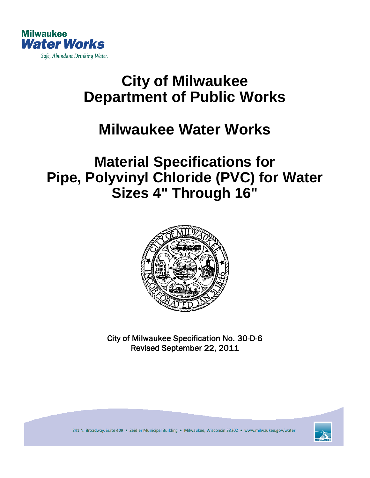

# **City of Milwaukee Department of Public Works**

## **Milwaukee Water Works**

### **Material Specifications for Pipe, Polyvinyl Chloride (PVC) for Water Sizes 4" Through 16"**



City of Milwaukee Specification No. 30-D-6 Revised September 22, 2011



841 N. Broadway, Suite 409 . Zeidler Municipal Building . Milwaukee, Wisconsin 53202 . www.milwaukee.gov/water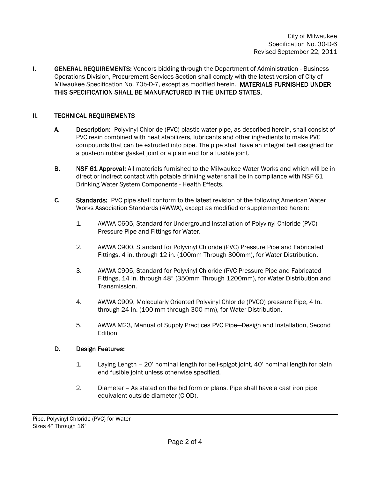**I.** GENERAL REQUIREMENTS: Vendors bidding through the Department of Administration - Business Operations Division, Procurement Services Section shall comply with the latest version of City of Milwaukee Specification No. 70b-D-7, except as modified herein. MATERIALS FURNISHED UNDER THIS SPECIFICATION SHALL BE MANUFACTURED IN THE UNITED STATES.

#### II. TECHNICAL REQUIREMENTS

- A. Description: Polyvinyl Chloride (PVC) plastic water pipe, as described herein, shall consist of PVC resin combined with heat stabilizers, lubricants and other ingredients to make PVC compounds that can be extruded into pipe. The pipe shall have an integral bell designed for a push-on rubber gasket joint or a plain end for a fusible joint.
- B. NSF 61 Approval: All materials furnished to the Milwaukee Water Works and which will be in direct or indirect contact with potable drinking water shall be in compliance with NSF 61 Drinking Water System Components - Health Effects.
- **C.** Standards: PVC pipe shall conform to the latest revision of the following American Water Works Association Standards (AWWA), except as modified or supplemented herein:
	- 1. AWWA C605, Standard for Underground Installation of Polyvinyl Chloride (PVC) Pressure Pipe and Fittings for Water.
	- 2. AWWA C900, Standard for Polyvinyl Chloride (PVC) Pressure Pipe and Fabricated Fittings, 4 in. through 12 in. (100mm Through 300mm), for Water Distribution.
	- 3. AWWA C905, Standard for Polyvinyl Chloride (PVC Pressure Pipe and Fabricated Fittings, 14 in. through 48" (350mm Through 1200mm), for Water Distribution and Transmission.
	- 4. AWWA C909, Molecularly Oriented Polyvinyl Chloride (PVCO) pressure Pipe, 4 In. through 24 In. (100 mm through 300 mm), for Water Distribution.
	- 5. AWWA M23, Manual of Supply Practices PVC Pipe—Design and Installation, Second Edition

#### D. Design Features:

- 1. Laying Length 20' nominal length for bell-spigot joint, 40' nominal length for plain end fusible joint unless otherwise specified.
- 2. Diameter As stated on the bid form or plans. Pipe shall have a cast iron pipe equivalent outside diameter (CIOD).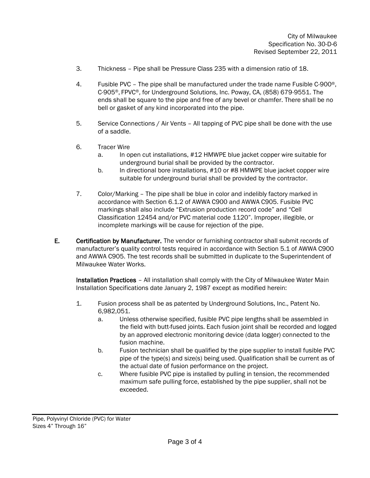- 3. Thickness Pipe shall be Pressure Class 235 with a dimension ratio of 18.
- 4. Fusible PVC The pipe shall be manufactured under the trade name Fusible C-900®, C-905®, FPVC®, for Underground Solutions, Inc. Poway, CA, (858) 679-9551. The ends shall be square to the pipe and free of any bevel or chamfer. There shall be no bell or gasket of any kind incorporated into the pipe.
- 5. Service Connections / Air Vents All tapping of PVC pipe shall be done with the use of a saddle.
- 6. Tracer Wire
	- a. In open cut installations, #12 HMWPE blue jacket copper wire suitable for underground burial shall be provided by the contractor.
	- b. In directional bore installations, #10 or #8 HMWPE blue jacket copper wire suitable for underground burial shall be provided by the contractor.
- 7. Color/Marking The pipe shall be blue in color and indelibly factory marked in accordance with Section 6.1.2 of AWWA C900 and AWWA C905. Fusible PVC markings shall also include "Extrusion production record code" and "Cell Classification 12454 and/or PVC material code 1120". Improper, illegible, or incomplete markings will be cause for rejection of the pipe.
- E. Certification by Manufacturer. The vendor or furnishing contractor shall submit records of manufacturer's quality control tests required in accordance with Section 5.1 of AWWA C900 and AWWA C905. The test records shall be submitted in duplicate to the Superintendent of Milwaukee Water Works.

Installation Practices – All installation shall comply with the City of Milwaukee Water Main Installation Specifications date January 2, 1987 except as modified herein:

- 1. Fusion process shall be as patented by Underground Solutions, Inc., Patent No. 6,982,051.
	- a. Unless otherwise specified, fusible PVC pipe lengths shall be assembled in the field with butt-fused joints. Each fusion joint shall be recorded and logged by an approved electronic monitoring device (data logger) connected to the fusion machine.
	- b. Fusion technician shall be qualified by the pipe supplier to install fusible PVC pipe of the type(s) and size(s) being used. Qualification shall be current as of the actual date of fusion performance on the project.
	- c. Where fusible PVC pipe is installed by pulling in tension, the recommended maximum safe pulling force, established by the pipe supplier, shall not be exceeded.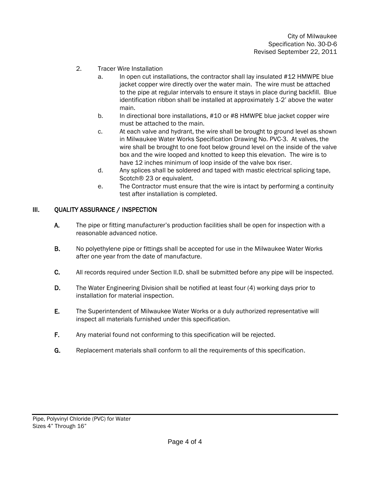- 2. Tracer Wire Installation
	- a. In open cut installations, the contractor shall lay insulated #12 HMWPE blue jacket copper wire directly over the water main. The wire must be attached to the pipe at regular intervals to ensure it stays in place during backfill. Blue identification ribbon shall be installed at approximately 1-2' above the water main.
	- b. In directional bore installations, #10 or #8 HMWPE blue jacket copper wire must be attached to the main.
	- c. At each valve and hydrant, the wire shall be brought to ground level as shown in Milwaukee Water Works Specification Drawing No. PVC-3. At valves, the wire shall be brought to one foot below ground level on the inside of the valve box and the wire looped and knotted to keep this elevation. The wire is to have 12 inches minimum of loop inside of the valve box riser.
	- d. Any splices shall be soldered and taped with mastic electrical splicing tape, Scotch® 23 or equivalent.
	- e. The Contractor must ensure that the wire is intact by performing a continuity test after installation is completed.

#### III. QUALITY ASSURANCE / INSPECTION

- A. The pipe or fitting manufacturer's production facilities shall be open for inspection with a reasonable advanced notice.
- B. No polyethylene pipe or fittings shall be accepted for use in the Milwaukee Water Works after one year from the date of manufacture.
- C. All records required under Section II.D. shall be submitted before any pipe will be inspected.
- D. The Water Engineering Division shall be notified at least four (4) working days prior to installation for material inspection.
- E. The Superintendent of Milwaukee Water Works or a duly authorized representative will inspect all materials furnished under this specification.
- F. Any material found not conforming to this specification will be rejected.
- G. Replacement materials shall conform to all the requirements of this specification.